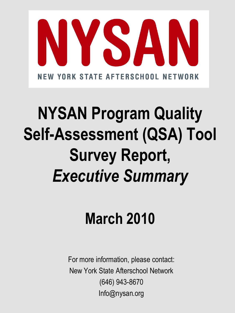

# **NYSAN Program Quality Self-Assessment (QSA) Tool Survey Report,**  *Executive Summary*

# **March 2010**

For more information, please contact: New York State Afterschool Network (646) 943-8670 Info@nysan.org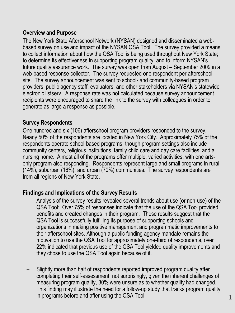## **Overview and Purpose**

The New York State Afterschool Network (NYSAN) designed and disseminated a webbased survey on use and impact of the NYSAN QSA Tool. The survey provided a means to collect information about how the QSA Tool is being used throughout New York State; to determine its effectiveness in supporting program quality; and to inform NYSAN's future quality assurance work. The survey was open from August – September 2009 in a web-based response collector. The survey requested one respondent per afterschool site. The survey announcement was sent to school- and community-based program providers, public agency staff, evaluators, and other stakeholders via NYSAN's statewide electronic listserv. A response rate was not calculated because survey announcement recipients were encouraged to share the link to the survey with colleagues in order to generate as large a response as possible.

#### **Survey Respondents**

One hundred and six (106) afterschool program providers responded to the survey. Nearly 50% of the respondents are located in New York City. Approximately 75% of the respondents operate school-based programs, though program settings also include community centers, religious institutions, family child care and day care facilities, and a nursing home. Almost all of the programs offer multiple, varied activities, with one artsonly program also responding. Respondents represent large and small programs in rural (14%), suburban (16%), and urban (70%) communities. The survey respondents are from all regions of New York State.

### **Findings and Implications of the Survey Results**

- Analysis of the survey results revealed several trends about use (or non-use) of the QSA Tool: Over 75% of responses indicate that the use of the QSA Tool provided benefits and created changes in their program. These results suggest that the QSA Tool is successfully fulfilling its purpose of supporting schools and organizations in making positive management and programmatic improvements to their afterschool sites. Although a public funding agency mandate remains the motivation to use the QSA Tool for approximately one-third of respondents, over 22% indicated that previous use of the QSA Tool yielded quality improvements and they chose to use the QSA Tool again because of it.
- Slightly more than half of respondents reported improved program quality after completing their self-assessment; not surprisingly, given the inherent challenges of measuring program quality, 30% were unsure as to whether quality had changed. This finding may illustrate the need for a follow-up study that tracks program quality in programs before and after using the QSA Tool.